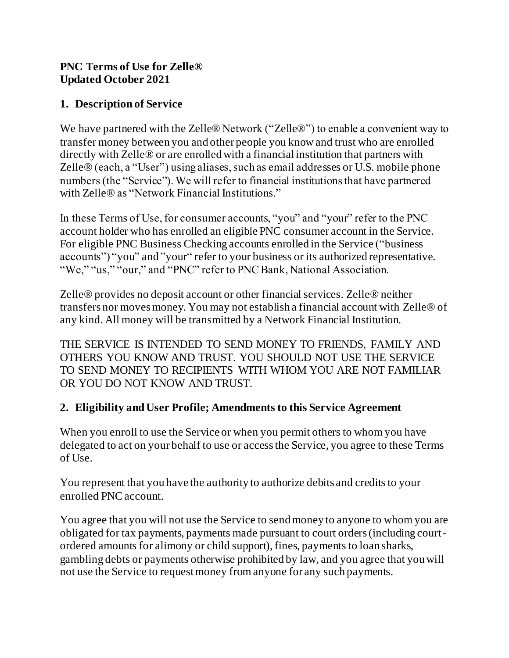#### **PNC Terms of Use for Zelle® Updated October 2021**

## **1. Description of Service**

We have partnered with the Zelle® Network ("Zelle®") to enable a convenient way to transfer money between you and other people you know and trust who are enrolled directly with Zelle® or are enrolled with a financial institution that partners with Zelle® (each, a "User") using aliases, such as email addresses or U.S. mobile phone numbers (the "Service"). We will refer to financial institutions that have partnered with Zelle® as "Network Financial Institutions."

In these Terms of Use, for consumer accounts, "you" and "your" refer to the PNC account holder who has enrolled an eligible PNC consumer account in the Service. For eligible PNC Business Checking accounts enrolled in the Service ("business accounts") "you" and "your" refer to your business or its authorized representative. "We," "us," "our," and "PNC" refer to PNC Bank, National Association.

Zelle® provides no deposit account or other financial services. Zelle® neither transfers nor moves money. You may not establish a financial account with Zelle® of any kind. All money will be transmitted by a Network Financial Institution.

THE SERVICE IS INTENDED TO SEND MONEY TO FRIENDS, FAMILY AND OTHERS YOU KNOW AND TRUST. YOU SHOULD NOT USE THE SERVICE TO SEND MONEY TO RECIPIENTS WITH WHOM YOU ARE NOT FAMILIAR OR YOU DO NOT KNOW AND TRUST.

## **2. Eligibility and User Profile; Amendments to this Service Agreement**

When you enroll to use the Service or when you permit others to whom you have delegated to act on your behalf to use or access the Service, you agree to these Terms of Use.

You represent that you have the authority to authorize debits and credits to your enrolled PNC account.

You agree that you will not use the Service to send money to anyone to whom you are obligated for tax payments, payments made pursuant to court orders (including courtordered amounts for alimony or child support), fines, payments to loan sharks, gambling debts or payments otherwise prohibited by law, and you agree that you will not use the Service to request money from anyone for any such payments.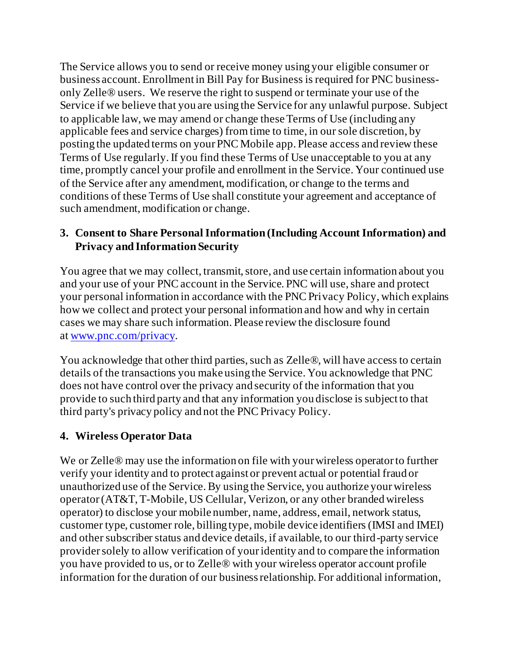The Service allows you to send or receive money using your eligible consumer or business account. Enrollment in Bill Pay for Business is required for PNC businessonly Zelle® users. We reserve the right to suspend or terminate your use of the Service if we believe that you are using the Service for any unlawful purpose. Subject to applicable law, we may amend or change these Terms of Use (including any applicable fees and service charges) from time to time, in our sole discretion, by posting the updated terms on your PNC Mobile app. Please access and review these Terms of Use regularly. If you find these Terms of Use unacceptable to you at any time, promptly cancel your profile and enrollment in the Service. Your continued use of the Service after any amendment, modification, or change to the terms and conditions of these Terms of Use shall constitute your agreement and acceptance of such amendment, modification or change.

#### **3. Consent to Share Personal Information (Including Account Information) and Privacy and Information Security**

You agree that we may collect, transmit, store, and use certain information about you and your use of your PNC account in the Service. PNC will use, share and protect your personal information in accordance with the PNC Privacy Policy, which explains how we collect and protect your personal information and how and why in certain cases we may share such information. Please review the disclosure found at [www.pnc.com/privacy](https://www.pnc.com/privacy).

You acknowledge that other third parties, such as Zelle®, will have access to certain details of the transactions you make using the Service. You acknowledge that PNC does not have control over the privacy and security of the information that you provide to such third party and that any information you disclose is subject to that third party's privacy policy and not the PNC Privacy Policy.

## **4. Wireless Operator Data**

We or Zelle<sup>®</sup> may use the information on file with your wireless operator to further verify your identity and to protect against or prevent actual or potential fraud or unauthorized use of the Service. By using the Service, you authorize your wireless operator (AT&T, T-Mobile, US Cellular, Verizon, or any other branded wireless operator) to disclose your mobile number, name, address, email, network status, customer type, customer role, billing type, mobile device identifiers (IMSI and IMEI) and other subscriber status and device details, if available, to our third-party service provider solely to allow verification of your identity and to compare the information you have provided to us, or to Zelle® with your wireless operator account profile information for the duration of our business relationship. For additional information,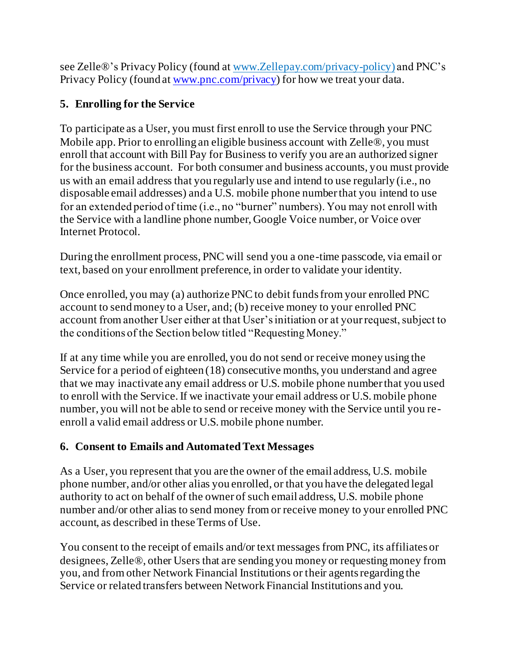see Zelle®'s Privacy Policy (found a[t www.Zellepay.com/privacy-policy](http://www.zellepay.com/privacy-policy)) and PNC's Privacy Policy (found a[t www.pnc.com/privacy](http://www.pnc.com/privacy)) for how we treat your data.

## **5. Enrolling for the Service**

To participate as a User, you must first enroll to use the Service through your PNC Mobile app. Prior to enrolling an eligible business account with Zelle®, you must enroll that account with Bill Pay for Business to verify you are an authorized signer for the business account. For both consumer and business accounts, you must provide us with an email address that you regularly use and intend to use regularly (i.e., no disposable email addresses) and a U.S. mobile phone number that you intend to use for an extended period of time (i.e., no "burner" numbers). You may not enroll with the Service with a landline phone number, Google Voice number, or Voice over Internet Protocol.

During the enrollment process, PNC will send you a one-time passcode, via email or text, based on your enrollment preference, in order to validate your identity.

Once enrolled, you may (a) authorize PNC to debit funds from your enrolled PNC account to send money to a User, and; (b) receive money to your enrolled PNC account from another User either at that User's initiation or at your request, subject to the conditions of the Section below titled "Requesting Money."

If at any time while you are enrolled, you do not send or receive money using the Service for a period of eighteen (18) consecutive months, you understand and agree that we may inactivate any email address or U.S. mobile phone number that you used to enroll with the Service. If we inactivate your email address or U.S. mobile phone number, you will not be able to send or receive money with the Service until you reenroll a valid email address or U.S. mobile phone number.

## **6. Consent to Emails and Automated Text Messages**

As a User, you represent that you are the owner of the email address, U.S. mobile phone number, and/or other alias you enrolled, or that you have the delegated legal authority to act on behalf of the owner of such email address, U.S. mobile phone number and/or other alias to send money from or receive money to your enrolled PNC account, as described in these Terms of Use.

You consent to the receipt of emails and/or text messages from PNC, its affiliates or designees, Zelle®, other Users that are sending you money or requesting money from you, and from other Network Financial Institutions or their agents regarding the Service or related transfers between Network Financial Institutions and you.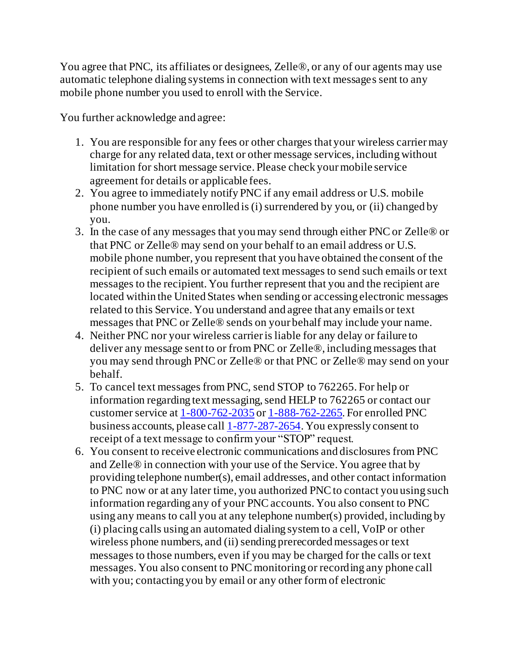You agree that PNC, its affiliates or designees, Zelle®, or any of our agents may use automatic telephone dialing systems in connection with text messages sent to any mobile phone number you used to enroll with the Service.

You further acknowledge and agree:

- 1. You are responsible for any fees or other charges that your wireless carrier may charge for any related data, text or other message services, including without limitation for short message service. Please check your mobile service agreement for details or applicable fees.
- 2. You agree to immediately notify PNC if any email address or U.S. mobile phone number you have enrolled is (i) surrendered by you, or (ii) changed by you.
- 3. In the case of any messages that you may send through either PNC or Zelle® or that PNC or Zelle® may send on your behalf to an email address or U.S. mobile phone number, you represent that you have obtained the consent of the recipient of such emails or automated text messages to send such emails or text messages to the recipient. You further represent that you and the recipient are located within the United States when sending or accessing electronic messages related to this Service. You understand and agree that any emails or text messages that PNC or Zelle® sends on your behalf may include your name.
- 4. Neither PNC nor your wireless carrier is liable for any delay or failure to deliver any message sent to or from PNC or Zelle®, including messages that you may send through PNC or Zelle® or that PNC or Zelle® may send on your behalf.
- 5. To cancel text messages from PNC, send STOP to 762265. For help or information regarding text messaging, send HELP to 762265 or contact our customer service at [1-800-762-2035](tel:18007622035) or [1-888-762-2265](tel:18887622265). For enrolled PNC business accounts, please cal[l 1-877-287-2654](file:///C:/Users/PL17300/AppData/Local/Microsoft/Windows/INetCache/Content.Outlook/AppData/Local/Microsoft/Windows/INetCache/Content.Outlook/1MYPQUF7/1-877-287-2654). You expressly consent to receipt of a text message to confirm your "STOP" request.
- 6. You consent to receive electronic communications and disclosures from PNC and Zelle® in connection with your use of the Service. You agree that by providing telephone number(s), email addresses, and other contact information to PNC now or at any later time, you authorized PNC to contact you using such information regarding any of your PNC accounts. You also consent to PNC using any means to call you at any telephone number(s) provided, including by (i) placing calls using an automated dialing system to a cell, VoIP or other wireless phone numbers, and (ii) sending prerecorded messages or text messages to those numbers, even if you may be charged for the calls or text messages. You also consent to PNC monitoring or recording any phone call with you; contacting you by email or any other form of electronic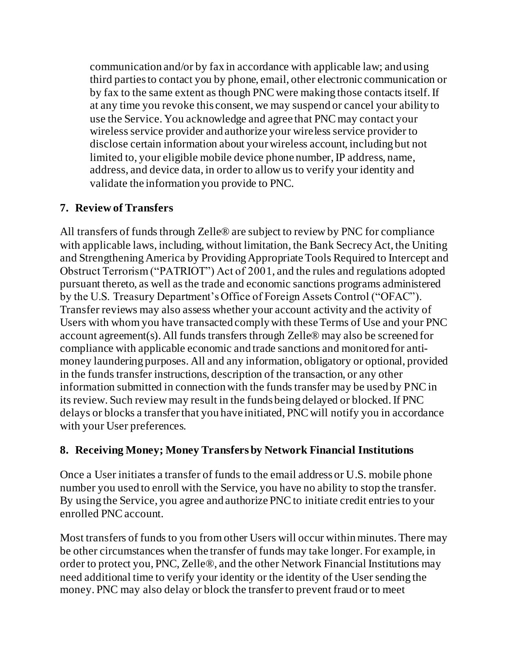communication and/or by fax in accordance with applicable law; and using third parties to contact you by phone, email, other electronic communication or by fax to the same extent as though PNC were making those contacts itself. If at any time you revoke this consent, we may suspend or cancel your ability to use the Service. You acknowledge and agree that PNC may contact your wireless service provider and authorize your wireless service provider to disclose certain information about your wireless account, including but not limited to, your eligible mobile device phone number, IP address, name, address, and device data, in order to allow us to verify your identity and validate the information you provide to PNC.

#### **7. Review of Transfers**

All transfers of funds through Zelle® are subject to review by PNC for compliance with applicable laws, including, without limitation, the Bank Secrecy Act, the Uniting and Strengthening America by Providing Appropriate Tools Required to Intercept and Obstruct Terrorism ("PATRIOT") Act of 2001, and the rules and regulations adopted pursuant thereto, as well as the trade and economic sanctions programs administered by the U.S. Treasury Department's Office of Foreign Assets Control ("OFAC"). Transfer reviews may also assess whether your account activity and the activity of Users with whom you have transacted comply with these Terms of Use and your PNC account agreement(s). All funds transfers through Zelle® may also be screened for compliance with applicable economic and trade sanctions and monitored for antimoney laundering purposes. All and any information, obligatory or optional, provided in the funds transfer instructions, description of the transaction, or any other information submitted in connection with the funds transfer may be used by PNC in its review. Such review may result in the funds being delayed or blocked. If PNC delays or blocks a transfer that you have initiated, PNC will notify you in accordance with your User preferences.

#### **8. Receiving Money; Money Transfers by Network Financial Institutions**

Once a User initiates a transfer of funds to the email address or U.S. mobile phone number you used to enroll with the Service, you have no ability to stop the transfer. By using the Service, you agree and authorize PNC to initiate credit entries to your enrolled PNC account.

Most transfers of funds to you from other Users will occur within minutes. There may be other circumstances when the transfer of funds may take longer. For example, in order to protect you, PNC, Zelle®, and the other Network Financial Institutions may need additional time to verify your identity or the identity of the User sending the money. PNC may also delay or block the transfer to prevent fraud or to meet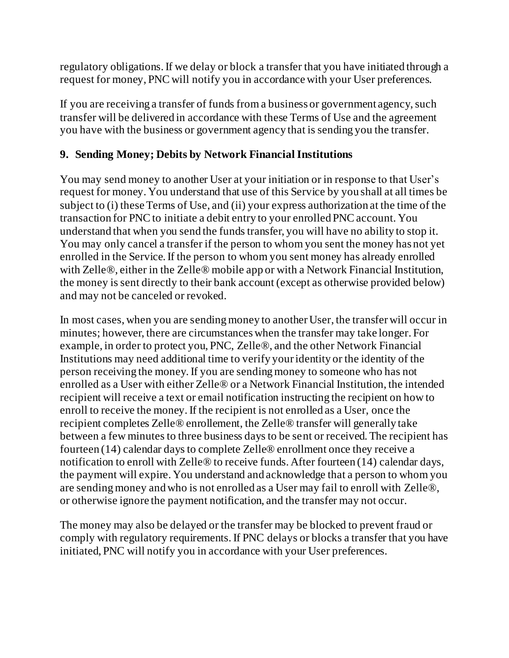regulatory obligations. If we delay or block a transfer that you have initiated through a request for money, PNC will notify you in accordance with your User preferences.

If you are receiving a transfer of funds from a business or government agency, such transfer will be delivered in accordance with these Terms of Use and the agreement you have with the business or government agency that is sending you the transfer.

#### **9. Sending Money; Debits by Network Financial Institutions**

You may send money to another User at your initiation or in response to that User's request for money. You understand that use of this Service by you shall at all times be subject to (i) these Terms of Use, and (ii) your express authorization at the time of the transaction for PNC to initiate a debit entry to your enrolled PNC account. You understand that when you send the funds transfer, you will have no ability to stop it. You may only cancel a transfer if the person to whom you sent the money has not yet enrolled in the Service. If the person to whom you sent money has already enrolled with Zelle<sup>®</sup>, either in the Zelle<sup>®</sup> mobile app or with a Network Financial Institution, the money is sent directly to their bank account (except as otherwise provided below) and may not be canceled or revoked.

In most cases, when you are sending money to another User, the transfer will occur in minutes; however, there are circumstances when the transfer may take longer. For example, in order to protect you, PNC, Zelle®, and the other Network Financial Institutions may need additional time to verify your identity or the identity of the person receiving the money. If you are sending money to someone who has not enrolled as a User with either Zelle® or a Network Financial Institution, the intended recipient will receive a text or email notification instructing the recipient on how to enroll to receive the money. If the recipient is not enrolled as a User, once the recipient completes Zelle® enrollement, the Zelle® transfer will generally take between a few minutes to three business days to be sent or received. The recipient has fourteen (14) calendar days to complete Zelle® enrollment once they receive a notification to enroll with Zelle® to receive funds. After fourteen (14) calendar days, the payment will expire. You understand and acknowledge that a person to whom you are sending money and who is not enrolled as a User may fail to enroll with Zelle®, or otherwise ignore the payment notification, and the transfer may not occur.

The money may also be delayed or the transfer may be blocked to prevent fraud or comply with regulatory requirements. If PNC delays or blocks a transfer that you have initiated, PNC will notify you in accordance with your User preferences.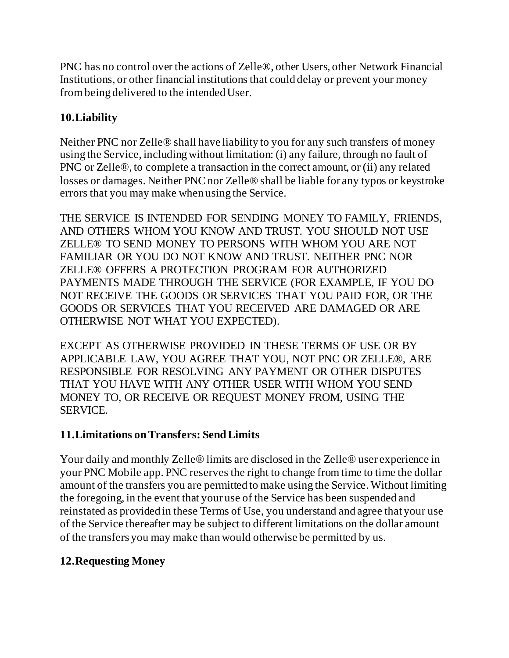PNC has no control over the actions of Zelle®, other Users, other Network Financial Institutions, or other financial institutions that could delay or prevent your money from being delivered to the intended User.

### **10.Liability**

Neither PNC nor Zelle® shall have liability to you for any such transfers of money using the Service, including without limitation: (i) any failure, through no fault of PNC or Zelle®, to complete a transaction in the correct amount, or (ii) any related losses or damages. Neither PNC nor Zelle® shall be liable for any typos or keystroke errors that you may make when using the Service.

THE SERVICE IS INTENDED FOR SENDING MONEY TO FAMILY, FRIENDS, AND OTHERS WHOM YOU KNOW AND TRUST. YOU SHOULD NOT USE ZELLE® TO SEND MONEY TO PERSONS WITH WHOM YOU ARE NOT FAMILIAR OR YOU DO NOT KNOW AND TRUST. NEITHER PNC NOR ZELLE® OFFERS A PROTECTION PROGRAM FOR AUTHORIZED PAYMENTS MADE THROUGH THE SERVICE (FOR EXAMPLE, IF YOU DO NOT RECEIVE THE GOODS OR SERVICES THAT YOU PAID FOR, OR THE GOODS OR SERVICES THAT YOU RECEIVED ARE DAMAGED OR ARE OTHERWISE NOT WHAT YOU EXPECTED).

EXCEPT AS OTHERWISE PROVIDED IN THESE TERMS OF USE OR BY APPLICABLE LAW, YOU AGREE THAT YOU, NOT PNC OR ZELLE®, ARE RESPONSIBLE FOR RESOLVING ANY PAYMENT OR OTHER DISPUTES THAT YOU HAVE WITH ANY OTHER USER WITH WHOM YOU SEND MONEY TO, OR RECEIVE OR REQUEST MONEY FROM, USING THE SERVICE.

#### **11.Limitations on Transfers: Send Limits**

Your daily and monthly Zelle® limits are disclosed in the Zelle® user experience in your PNC Mobile app. PNC reserves the right to change from time to time the dollar amount of the transfers you are permitted to make using the Service. Without limiting the foregoing, in the event that your use of the Service has been suspended and reinstated as provided in these Terms of Use, you understand and agree that your use of the Service thereafter may be subject to different limitations on the dollar amount of the transfers you may make than would otherwise be permitted by us.

## **12.Requesting Money**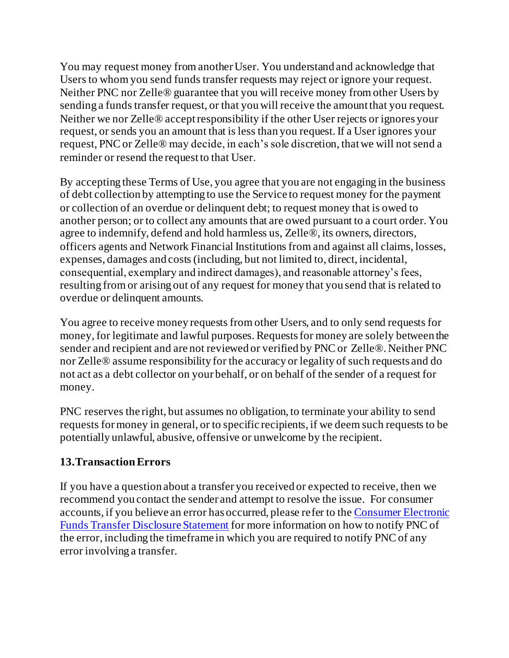You may request money from another User. You understand and acknowledge that Users to whom you send funds transfer requests may reject or ignore your request. Neither PNC nor Zelle® guarantee that you will receive money from other Users by sending a funds transfer request, or that you will receive the amount that you request. Neither we nor Zelle® accept responsibility if the other User rejects or ignores your request, or sends you an amount that is less than you request. If a User ignores your request, PNC or Zelle® may decide, in each's sole discretion, that we will not send a reminder or resend the request to that User.

By accepting these Terms of Use, you agree that you are not engaging in the business of debt collection by attempting to use the Service to request money for the payment or collection of an overdue or delinquent debt; to request money that is owed to another person; or to collect any amounts that are owed pursuant to a court order. You agree to indemnify, defend and hold harmless us, Zelle®, its owners, directors, officers agents and Network Financial Institutions from and against all claims, losses, expenses, damages and costs (including, but not limited to, direct, incidental, consequential, exemplary and indirect damages), and reasonable attorney's fees, resulting from or arising out of any request for money that you send that is related to overdue or delinquent amounts.

You agree to receive money requests from other Users, and to only send requests for money, for legitimate and lawful purposes. Requests for money are solely between the sender and recipient and are not reviewed or verified by PNC or Zelle®. Neither PNC nor Zelle® assume responsibility for the accuracy or legality of such requests and do not act as a debt collector on your behalf, or on behalf of the sender of a request for money.

PNC reserves the right, but assumes no obligation, to terminate your ability to send requests for money in general, or to specific recipients, if we deem such requests to be potentially unlawful, abusive, offensive or unwelcome by the recipient.

## **13.Transaction Errors**

If you have a question about a transfer you received or expected to receive, then we recommend you contact the sender and attempt to resolve the issue. For consumer accounts, if you believe an error has occurred, please refer to th[e Consumer Electronic](https://www.pnc.com/content/dam/pnc-com/pdf/personal/Misc/CONSUMER%20ELECTRONIC%20FUNDS%20TRANSFER%20DISCLOSURE%20STATEMENT.pdf)  Funds Transfer [Disclosure Statement](https://www.pnc.com/content/dam/pnc-com/pdf/personal/Misc/CONSUMER%20ELECTRONIC%20FUNDS%20TRANSFER%20DISCLOSURE%20STATEMENT.pdf) for more information on how to notify PNC of the error, including the timeframe in which you are required to notify PNC of any error involving a transfer.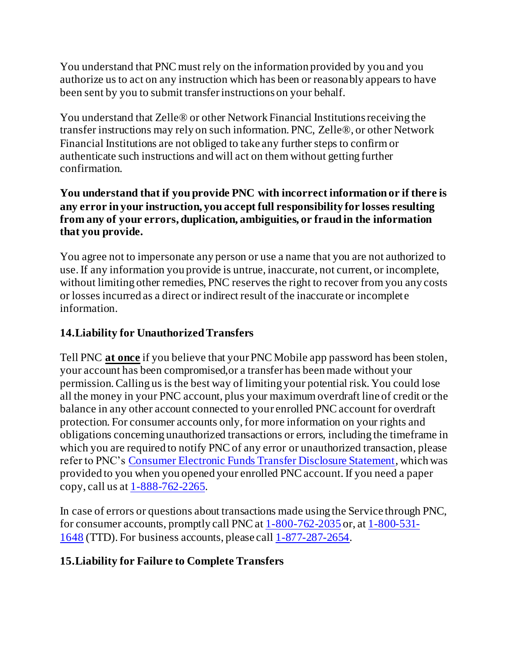You understand that PNC must rely on the information provided by you and you authorize us to act on any instruction which has been or reasonably appears to have been sent by you to submit transfer instructions on your behalf.

You understand that Zelle® or other Network Financial Institutions receiving the transfer instructions may rely on such information. PNC, Zelle®, or other Network Financial Institutions are not obliged to take any further steps to confirm or authenticate such instructions and will act on them without getting further confirmation.

#### **You understand that if you provide PNC with incorrect information or if there is any error in your instruction, you accept full responsibility for losses resulting from any of your errors, duplication, ambiguities, or fraud in the information that you provide.**

You agree not to impersonate any person or use a name that you are not authorized to use. If any information you provide is untrue, inaccurate, not current, or incomplete, without limiting other remedies, PNC reserves the right to recover from you any costs or losses incurred as a direct or indirect result of the inaccurate or incomplete information.

# **14.Liability for Unauthorized Transfers**

Tell PNC **at once** if you believe that your PNC Mobile app password has been stolen, your account has been compromised,or a transfer has been made without your permission. Calling us is the best way of limiting your potential risk. You could lose all the money in your PNC account, plus your maximum overdraft line of credit or the balance in any other account connected to your enrolled PNC account for overdraft protection. For consumer accounts only, for more information on your rights and obligations concerning unauthorized transactions or errors, including the timeframe in which you are required to notify PNC of any error or unauthorized transaction, please refer to PNC's [Consumer Electronic Funds Transfer Disclosure Statement](https://www.pnc.com/content/dam/pnc-com/pdf/personal/Misc/CONSUMER%20ELECTRONIC%20FUNDS%20TRANSFER%20DISCLOSURE%20STATEMENT.pdf), which was provided to you when you opened your enrolled PNC account. If you need a paper copy, call us at [1-888-762-2265](tel:18887622265).

In case of errors or questions about transactions made using the Service through PNC, for consumer accounts, promptly call PNC at [1-800-762-2035](tel:18007622035) or, at [1-800-531-](tel:18005311648) [1648](tel:18005311648) (TTD). For business accounts, please cal[l 1-877-287-2654](file:///C:/Users/PL17300/AppData/Local/Microsoft/Windows/INetCache/Content.Outlook/AppData/Local/Microsoft/Windows/INetCache/Content.Outlook/1MYPQUF7/1-877-287-2654).

## **15.Liability for Failure to Complete Transfers**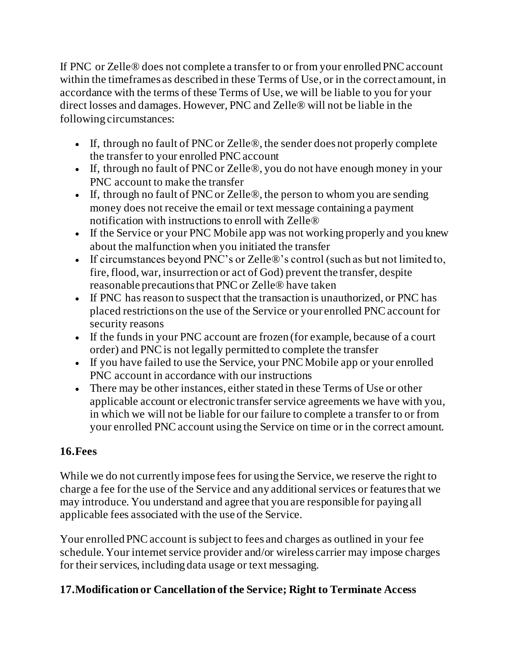If PNC or Zelle® does not complete a transfer to or from your enrolled PNC account within the timeframes as described in these Terms of Use, or in the correct amount, in accordance with the terms of these Terms of Use, we will be liable to you for your direct losses and damages. However, PNC and Zelle® will not be liable in the following circumstances:

- If, through no fault of PNC or Zelle<sup>®</sup>, the sender does not properly complete the transfer to your enrolled PNC account
- If, through no fault of PNC or Zelle<sup>®</sup>, you do not have enough money in your PNC account to make the transfer
- If, through no fault of PNC or Zelle<sup>®</sup>, the person to whom you are sending money does not receive the email or text message containing a payment notification with instructions to enroll with Zelle®
- If the Service or your PNC Mobile app was not working properly and you knew about the malfunction when you initiated the transfer
- If circumstances beyond PNC's or Zelle<sup>®</sup>'s control (such as but not limited to, fire, flood, war, insurrection or act of God) prevent the transfer, despite reasonable precautions that PNC or Zelle® have taken
- If PNC has reason to suspect that the transaction is unauthorized, or PNC has placed restrictions on the use of the Service or your enrolled PNC account for security reasons
- If the funds in your PNC account are frozen (for example, because of a court order) and PNC is not legally permitted to complete the transfer
- If you have failed to use the Service, your PNC Mobile app or your enrolled PNC account in accordance with our instructions
- There may be other instances, either stated in these Terms of Use or other applicable account or electronic transfer service agreements we have with you, in which we will not be liable for our failure to complete a transfer to or from your enrolled PNC account using the Service on time or in the correct amount.

# **16.Fees**

While we do not currently impose fees for using the Service, we reserve the right to charge a fee for the use of the Service and any additional services or features that we may introduce. You understand and agree that you are responsible for paying all applicable fees associated with the use of the Service.

Your enrolled PNC account is subject to fees and charges as outlined in your fee schedule. Your internet service provider and/or wireless carrier may impose charges for their services, including data usage or text messaging.

## **17.Modification or Cancellation of the Service; Right to Terminate Access**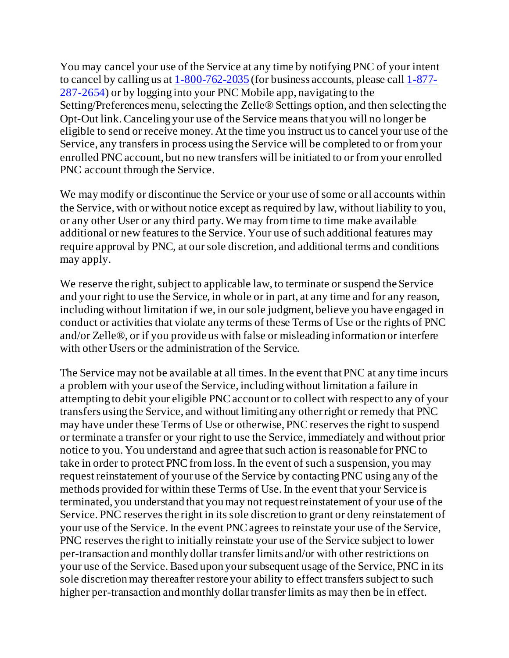You may cancel your use of the Service at any time by notifying PNC of your intent to cancel by calling us at [1-800-762-2035](tel:18007622035) (for business accounts, please cal[l 1-877-](file:///C:/Users/PL17300/AppData/Local/Microsoft/Windows/INetCache/Content.Outlook/AppData/Local/Microsoft/Windows/INetCache/Content.Outlook/1MYPQUF7/1-877-287-2654) [287-2654](file:///C:/Users/PL17300/AppData/Local/Microsoft/Windows/INetCache/Content.Outlook/AppData/Local/Microsoft/Windows/INetCache/Content.Outlook/1MYPQUF7/1-877-287-2654)) or by logging into your PNC Mobile app, navigating to the Setting/Preferences menu, selecting the Zelle® Settings option, and then selecting the Opt-Out link. Canceling your use of the Service means that you will no longer be eligible to send or receive money. At the time you instruct us to cancel your use of the Service, any transfers in process using the Service will be completed to or from your enrolled PNC account, but no new transfers will be initiated to or from your enrolled PNC account through the Service.

We may modify or discontinue the Service or your use of some or all accounts within the Service, with or without notice except as required by law, without liability to you, or any other User or any third party. We may from time to time make available additional or new features to the Service. Your use of such additional features may require approval by PNC, at our sole discretion, and additional terms and conditions may apply.

We reserve the right, subject to applicable law, to terminate or suspend the Service and your right to use the Service, in whole or in part, at any time and for any reason, including without limitation if we, in our sole judgment, believe you have engaged in conduct or activities that violate any terms of these Terms of Use or the rights of PNC and/or Zelle®, or if you provide us with false or misleading information or interfere with other Users or the administration of the Service.

The Service may not be available at all times. In the event that PNC at any time incurs a problem with your use of the Service, including without limitation a failure in attempting to debit your eligible PNC account or to collect with respect to any of your transfers using the Service, and without limiting any other right or remedy that PNC may have under these Terms of Use or otherwise, PNC reserves the right to suspend or terminate a transfer or your right to use the Service, immediately and without prior notice to you. You understand and agree that such action is reasonable for PNC to take in order to protect PNC from loss. In the event of such a suspension, you may request reinstatement of your use of the Service by contacting PNC using any of the methods provided for within these Terms of Use. In the event that your Service is terminated, you understand that you may not request reinstatement of your use of the Service. PNC reserves the right in its sole discretion to grant or deny reinstatement of your use of the Service. In the event PNC agrees to reinstate your use of the Service, PNC reserves the right to initially reinstate your use of the Service subject to lower per-transaction and monthly dollar transfer limits and/or with other restrictions on your use of the Service. Based upon your subsequent usage of the Service, PNC in its sole discretion may thereafter restore your ability to effect transfers subject to such higher per-transaction and monthly dollar transfer limits as may then be in effect.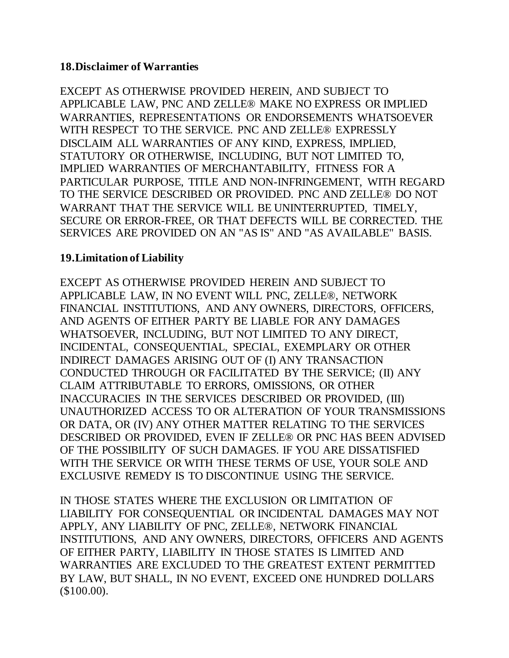#### **18.Disclaimer of Warranties**

EXCEPT AS OTHERWISE PROVIDED HEREIN, AND SUBJECT TO APPLICABLE LAW, PNC AND ZELLE® MAKE NO EXPRESS OR IMPLIED WARRANTIES, REPRESENTATIONS OR ENDORSEMENTS WHATSOEVER WITH RESPECT TO THE SERVICE. PNC AND ZELLE® EXPRESSLY DISCLAIM ALL WARRANTIES OF ANY KIND, EXPRESS, IMPLIED, STATUTORY OR OTHERWISE, INCLUDING, BUT NOT LIMITED TO, IMPLIED WARRANTIES OF MERCHANTABILITY, FITNESS FOR A PARTICULAR PURPOSE, TITLE AND NON-INFRINGEMENT, WITH REGARD TO THE SERVICE DESCRIBED OR PROVIDED. PNC AND ZELLE® DO NOT WARRANT THAT THE SERVICE WILL BE UNINTERRUPTED, TIMELY, SECURE OR ERROR-FREE, OR THAT DEFECTS WILL BE CORRECTED. THE SERVICES ARE PROVIDED ON AN "AS IS" AND "AS AVAILABLE" BASIS.

#### **19.Limitation of Liability**

EXCEPT AS OTHERWISE PROVIDED HEREIN AND SUBJECT TO APPLICABLE LAW, IN NO EVENT WILL PNC, ZELLE®, NETWORK FINANCIAL INSTITUTIONS, AND ANY OWNERS, DIRECTORS, OFFICERS, AND AGENTS OF EITHER PARTY BE LIABLE FOR ANY DAMAGES WHATSOEVER, INCLUDING, BUT NOT LIMITED TO ANY DIRECT, INCIDENTAL, CONSEQUENTIAL, SPECIAL, EXEMPLARY OR OTHER INDIRECT DAMAGES ARISING OUT OF (I) ANY TRANSACTION CONDUCTED THROUGH OR FACILITATED BY THE SERVICE; (II) ANY CLAIM ATTRIBUTABLE TO ERRORS, OMISSIONS, OR OTHER INACCURACIES IN THE SERVICES DESCRIBED OR PROVIDED, (III) UNAUTHORIZED ACCESS TO OR ALTERATION OF YOUR TRANSMISSIONS OR DATA, OR (IV) ANY OTHER MATTER RELATING TO THE SERVICES DESCRIBED OR PROVIDED, EVEN IF ZELLE® OR PNC HAS BEEN ADVISED OF THE POSSIBILITY OF SUCH DAMAGES. IF YOU ARE DISSATISFIED WITH THE SERVICE OR WITH THESE TERMS OF USE, YOUR SOLE AND EXCLUSIVE REMEDY IS TO DISCONTINUE USING THE SERVICE.

IN THOSE STATES WHERE THE EXCLUSION OR LIMITATION OF LIABILITY FOR CONSEQUENTIAL OR INCIDENTAL DAMAGES MAY NOT APPLY, ANY LIABILITY OF PNC, ZELLE®, NETWORK FINANCIAL INSTITUTIONS, AND ANY OWNERS, DIRECTORS, OFFICERS AND AGENTS OF EITHER PARTY, LIABILITY IN THOSE STATES IS LIMITED AND WARRANTIES ARE EXCLUDED TO THE GREATEST EXTENT PERMITTED BY LAW, BUT SHALL, IN NO EVENT, EXCEED ONE HUNDRED DOLLARS (\$100.00).